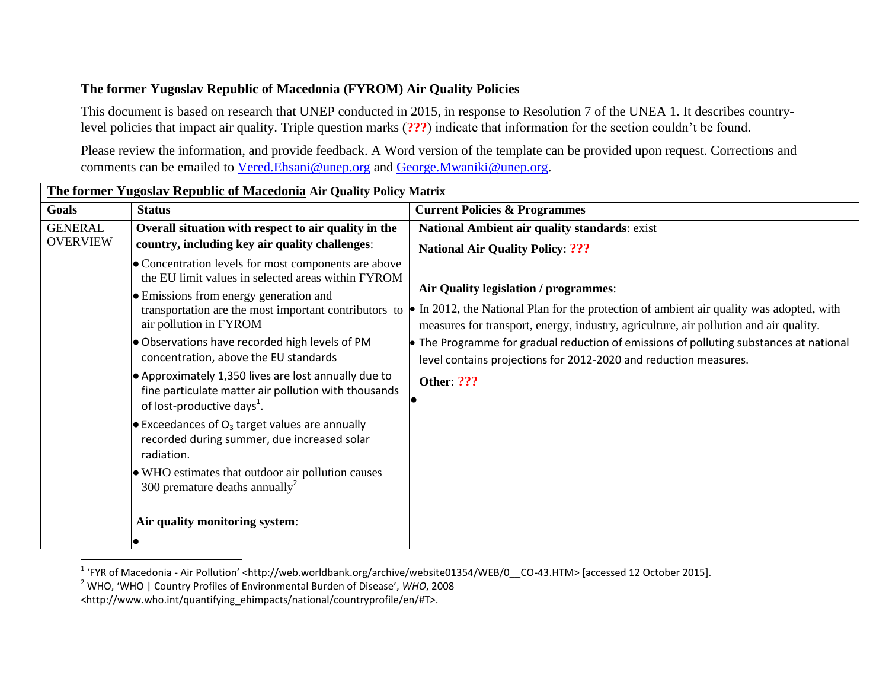## **The former Yugoslav Republic of Macedonia (FYROM) Air Quality Policies**

This document is based on research that UNEP conducted in 2015, in response to Resolution 7 of the UNEA 1. It describes countrylevel policies that impact air quality. Triple question marks (**???**) indicate that information for the section couldn't be found.

Please review the information, and provide feedback. A Word version of the template can be provided upon request. Corrections and comments can be emailed to [Vered.Ehsani@unep.org](mailto:Vered.Ehsani@unep.org) and [George.Mwaniki@unep.org.](mailto:George.Mwaniki@unep.org)

| The former Yugoslav Republic of Macedonia Air Quality Policy Matrix |                                                                                                                                                                                                                                                                                                                                                                                                                                                          |                                                                                                                                                                                                                                                                                                                                                                                                             |  |  |
|---------------------------------------------------------------------|----------------------------------------------------------------------------------------------------------------------------------------------------------------------------------------------------------------------------------------------------------------------------------------------------------------------------------------------------------------------------------------------------------------------------------------------------------|-------------------------------------------------------------------------------------------------------------------------------------------------------------------------------------------------------------------------------------------------------------------------------------------------------------------------------------------------------------------------------------------------------------|--|--|
| Goals                                                               | <b>Status</b>                                                                                                                                                                                                                                                                                                                                                                                                                                            | <b>Current Policies &amp; Programmes</b>                                                                                                                                                                                                                                                                                                                                                                    |  |  |
| <b>GENERAL</b>                                                      | Overall situation with respect to air quality in the                                                                                                                                                                                                                                                                                                                                                                                                     | National Ambient air quality standards: exist                                                                                                                                                                                                                                                                                                                                                               |  |  |
| <b>OVERVIEW</b>                                                     | country, including key air quality challenges:                                                                                                                                                                                                                                                                                                                                                                                                           | <b>National Air Quality Policy: ???</b>                                                                                                                                                                                                                                                                                                                                                                     |  |  |
|                                                                     | • Concentration levels for most components are above<br>the EU limit values in selected areas within FYROM<br>• Emissions from energy generation and<br>transportation are the most important contributors to<br>air pollution in FYROM<br>Observations have recorded high levels of PM<br>concentration, above the EU standards<br>$\bullet$ Approximately 1,350 lives are lost annually due to<br>fine particulate matter air pollution with thousands | Air Quality legislation / programmes:<br>In 2012, the National Plan for the protection of ambient air quality was adopted, with<br>measures for transport, energy, industry, agriculture, air pollution and air quality.<br>• The Programme for gradual reduction of emissions of polluting substances at national<br>level contains projections for 2012-2020 and reduction measures.<br><b>Other: ???</b> |  |  |
|                                                                     | of lost-productive days <sup>1</sup> .<br>$\bullet$ Exceedances of O <sub>3</sub> target values are annually<br>recorded during summer, due increased solar<br>radiation.<br>• WHO estimates that outdoor air pollution causes<br>300 premature deaths annually <sup>2</sup><br>Air quality monitoring system:                                                                                                                                           |                                                                                                                                                                                                                                                                                                                                                                                                             |  |  |
|                                                                     |                                                                                                                                                                                                                                                                                                                                                                                                                                                          |                                                                                                                                                                                                                                                                                                                                                                                                             |  |  |

 1 'FYR of Macedonia - Air Pollution' <http://web.worldbank.org/archive/website01354/WEB/0\_\_CO-43.HTM> [accessed 12 October 2015].

<sup>2</sup> WHO, 'WHO | Country Profiles of Environmental Burden of Disease', *WHO*, 2008

<sup>&</sup>lt;http://www.who.int/quantifying\_ehimpacts/national/countryprofile/en/#T>.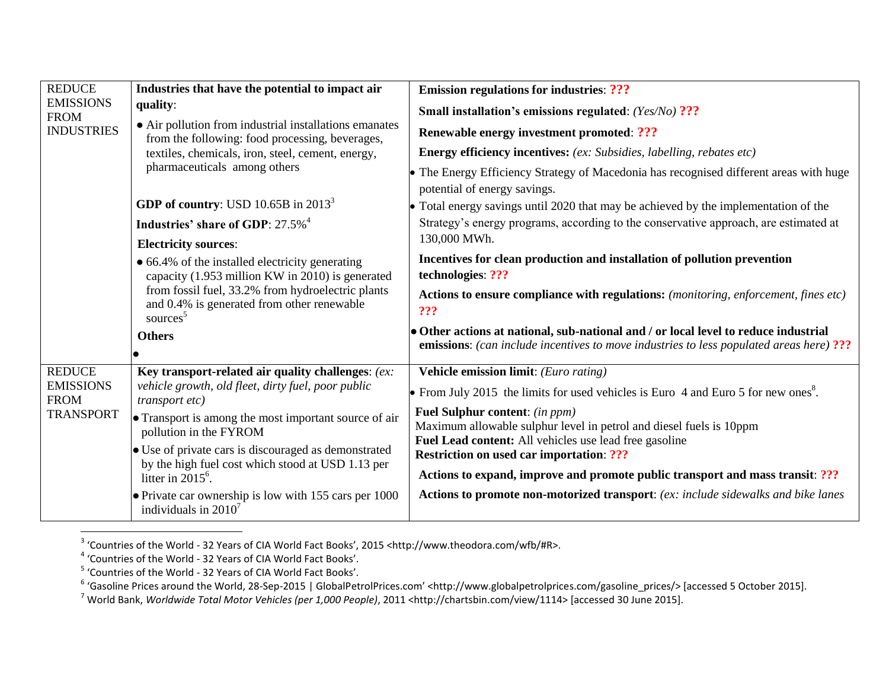| <b>REDUCE</b><br><b>EMISSIONS</b><br><b>FROM</b><br><b>INDUSTRIES</b> | Industries that have the potential to impact air                                                                                                                                                                               | <b>Emission regulations for industries: ???</b>                                                                                                                                |
|-----------------------------------------------------------------------|--------------------------------------------------------------------------------------------------------------------------------------------------------------------------------------------------------------------------------|--------------------------------------------------------------------------------------------------------------------------------------------------------------------------------|
|                                                                       | quality:<br>• Air pollution from industrial installations emanates<br>from the following: food processing, beverages,<br>textiles, chemicals, iron, steel, cement, energy,<br>pharmaceuticals among others                     | <b>Small installation's emissions regulated:</b> (Yes/No) ???                                                                                                                  |
|                                                                       |                                                                                                                                                                                                                                | <b>Renewable energy investment promoted: ???</b>                                                                                                                               |
|                                                                       |                                                                                                                                                                                                                                | <b>Energy efficiency incentives:</b> (ex: Subsidies, labelling, rebates etc)                                                                                                   |
|                                                                       |                                                                                                                                                                                                                                | • The Energy Efficiency Strategy of Macedonia has recognised different areas with huge<br>potential of energy savings.                                                         |
|                                                                       | <b>GDP</b> of country: USD 10.65B in $2013^3$                                                                                                                                                                                  | • Total energy savings until 2020 that may be achieved by the implementation of the                                                                                            |
|                                                                       | Industries' share of GDP: 27.5% <sup>4</sup>                                                                                                                                                                                   | Strategy's energy programs, according to the conservative approach, are estimated at                                                                                           |
|                                                                       | <b>Electricity sources:</b>                                                                                                                                                                                                    | 130,000 MWh.                                                                                                                                                                   |
|                                                                       | • 66.4% of the installed electricity generating<br>capacity (1.953 million KW in 2010) is generated<br>from fossil fuel, 33.2% from hydroelectric plants<br>and 0.4% is generated from other renewable<br>sources <sup>5</sup> | Incentives for clean production and installation of pollution prevention                                                                                                       |
|                                                                       |                                                                                                                                                                                                                                | technologies: ???                                                                                                                                                              |
|                                                                       |                                                                                                                                                                                                                                | Actions to ensure compliance with regulations: (monitoring, enforcement, fines etc)<br>???                                                                                     |
|                                                                       | <b>Others</b>                                                                                                                                                                                                                  | • Other actions at national, sub-national and / or local level to reduce industrial<br>emissions: (can include incentives to move industries to less populated areas here) ??? |
| <b>REDUCE</b><br><b>EMISSIONS</b><br><b>FROM</b><br><b>TRANSPORT</b>  | Key transport-related air quality challenges: (ex:                                                                                                                                                                             | Vehicle emission limit: (Euro rating)                                                                                                                                          |
|                                                                       | vehicle growth, old fleet, dirty fuel, poor public<br><i>transport etc)</i>                                                                                                                                                    | • From July 2015 the limits for used vehicles is Euro 4 and Euro 5 for new ones <sup>8</sup> .                                                                                 |
|                                                                       | • Transport is among the most important source of air<br>pollution in the FYROM                                                                                                                                                | <b>Fuel Sulphur content:</b> (in ppm)<br>Maximum allowable sulphur level in petrol and diesel fuels is 10ppm                                                                   |
|                                                                       | • Use of private cars is discouraged as demonstrated<br>by the high fuel cost which stood at USD 1.13 per<br>litter in $2015^6$ .                                                                                              | Fuel Lead content: All vehicles use lead free gasoline<br><b>Restriction on used car importation: ???</b>                                                                      |
|                                                                       |                                                                                                                                                                                                                                | Actions to expand, improve and promote public transport and mass transit: ???                                                                                                  |
|                                                                       | • Private car ownership is low with 155 cars per 1000<br>individuals in $2010^7$                                                                                                                                               | Actions to promote non-motorized transport: (ex: include sidewalks and bike lanes                                                                                              |

<sup>&</sup>lt;sup>3</sup> 'Countries of the World - 32 Years of CIA World Fact Books', 2015 <http://www.theodora.com/wfb/#R>.<br><sup>4</sup> 'Countries of the World - 32 Years of CIA World Fact Books'.<br><sup>5</sup> 'Countries of the World - 32 Years of CIA World F

<sup>7</sup> World Bank, *Worldwide Total Motor Vehicles (per 1,000 People)*, 2011 <http://chartsbin.com/view/1114> [accessed 30 June 2015].